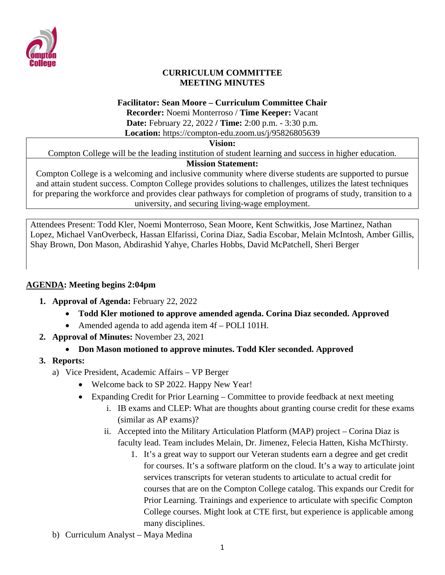

#### **CURRICULUM COMMITTEE MEETING MINUTES**

#### **Facilitator: Sean Moore – Curriculum Committee Chair**

**Recorder:** Noemi Monterroso / **Time Keeper:** Vacant **Date:** February 22, 2022 **/ Time:** 2:00 p.m. - 3:30 p.m. **Location:** https://compton-edu.zoom.us/j/95826805639

#### **Vision:**

Compton College will be the leading institution of student learning and success in higher education.

#### **Mission Statement:**

Compton College is a welcoming and inclusive community where diverse students are supported to pursue and attain student success. Compton College provides solutions to challenges, utilizes the latest techniques for preparing the workforce and provides clear pathways for completion of programs of study, transition to a university, and securing living-wage employment.

Attendees Present: Todd Kler, Noemi Monterroso, Sean Moore, Kent Schwitkis, Jose Martinez, Nathan Lopez, Michael VanOverbeck, Hassan Elfarissi, Corina Diaz, Sadia Escobar, Melain McIntosh, Amber Gillis, Shay Brown, Don Mason, Abdirashid Yahye, Charles Hobbs, David McPatchell, Sheri Berger

#### **AGENDA: Meeting begins 2:04pm**

- **1. Approval of Agenda:** February 22, 2022
	- **Todd Kler motioned to approve amended agenda. Corina Diaz seconded. Approved**
	- Amended agenda to add agenda item 4f POLI 101H.
- **2. Approval of Minutes:** November 23, 2021
	- **Don Mason motioned to approve minutes. Todd Kler seconded. Approved**

#### **3. Reports:**

- a) Vice President, Academic Affairs VP Berger
	- Welcome back to SP 2022. Happy New Year!
	- Expanding Credit for Prior Learning Committee to provide feedback at next meeting
		- i. IB exams and CLEP: What are thoughts about granting course credit for these exams (similar as AP exams)?
		- ii. Accepted into the Military Articulation Platform (MAP) project Corina Diaz is faculty lead. Team includes Melain, Dr. Jimenez, Felecia Hatten, Kisha McThirsty.
			- 1. It's a great way to support our Veteran students earn a degree and get credit for courses. It's a software platform on the cloud. It's a way to articulate joint services transcripts for veteran students to articulate to actual credit for courses that are on the Compton College catalog. This expands our Credit for Prior Learning. Trainings and experience to articulate with specific Compton College courses. Might look at CTE first, but experience is applicable among many disciplines.
- b) Curriculum Analyst Maya Medina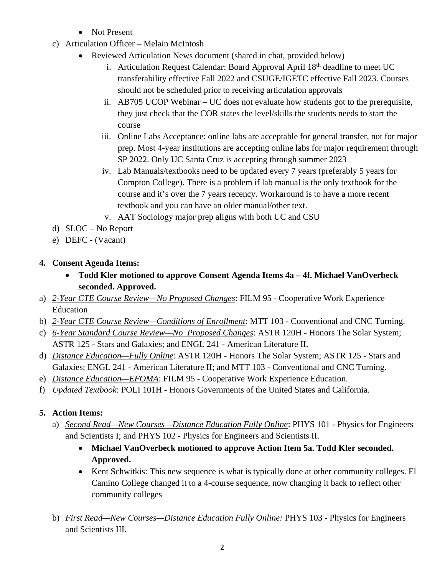- Not Present
- c) Articulation Officer Melain McIntosh
	- Reviewed Articulation News document (shared in chat, provided below)
		- i. Articulation Request Calendar: Board Approval April 18<sup>th</sup> deadline to meet UC transferability effective Fall 2022 and CSUGE/IGETC effective Fall 2023. Courses should not be scheduled prior to receiving articulation approvals
		- ii. AB705 UCOP Webinar UC does not evaluate how students got to the prerequisite, they just check that the COR states the level/skills the students needs to start the course
		- iii. Online Labs Acceptance: online labs are acceptable for general transfer, not for major prep. Most 4-year institutions are accepting online labs for major requirement through SP 2022. Only UC Santa Cruz is accepting through summer 2023
		- iv. Lab Manuals/textbooks need to be updated every 7 years (preferably 5 years for Compton College). There is a problem if lab manual is the only textbook for the course and it's over the 7 years recency. Workaround is to have a more recent textbook and you can have an older manual/other text.
		- v. AAT Sociology major prep aligns with both UC and CSU
- d) SLOC No Report
- e) DEFC (Vacant)

#### **4. Consent Agenda Items:**

- **Todd Kler motioned to approve Consent Agenda Items 4a – 4f. Michael VanOverbeck seconded. Approved.**
- a) *2-Year CTE Course Review—No Proposed Changes*: FILM 95 Cooperative Work Experience Education
- b) *2-Year CTE Course Review—Conditions of Enrollment*: MTT 103 Conventional and CNC Turning.
- c) *6-Year Standard Course Review—No Proposed Changes*: ASTR 120H Honors The Solar System; ASTR 125 - Stars and Galaxies; and ENGL 241 - American Literature II.
- d) *Distance Education—Fully Online*: ASTR 120H Honors The Solar System; ASTR 125 Stars and Galaxies; ENGL 241 - American Literature II; and MTT 103 - Conventional and CNC Turning.
- e) *Distance Education—EFOMA*: FILM 95 Cooperative Work Experience Education.
- f) *Updated Textbook*: POLI 101H Honors Governments of the United States and California.

# **5. Action Items:**

- a) *Second Read—New Courses—Distance Education Fully Online*: PHYS 101 Physics for Engineers and Scientists I; and PHYS 102 - Physics for Engineers and Scientists II.
	- **Michael VanOverbeck motioned to approve Action Item 5a. Todd Kler seconded. Approved.**
	- Kent Schwitkis: This new sequence is what is typically done at other community colleges. El Camino College changed it to a 4-course sequence, now changing it back to reflect other community colleges
- b) *First Read—New Courses—Distance Education Fully Online:* PHYS 103 Physics for Engineers and Scientists III.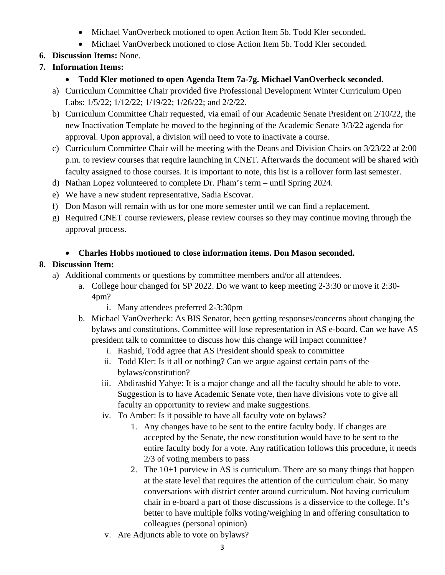- Michael VanOverbeck motioned to open Action Item 5b. Todd Kler seconded.
- Michael VanOverbeck motioned to close Action Item 5b. Todd Kler seconded.

# **6. Discussion Items:** None.

# **7. Information Items:**

- **Todd Kler motioned to open Agenda Item 7a-7g. Michael VanOverbeck seconded.**
- a) Curriculum Committee Chair provided five Professional Development Winter Curriculum Open Labs: 1/5/22; 1/12/22; 1/19/22; 1/26/22; and 2/2/22.
- b) Curriculum Committee Chair requested, via email of our Academic Senate President on 2/10/22, the new Inactivation Template be moved to the beginning of the Academic Senate 3/3/22 agenda for approval. Upon approval, a division will need to vote to inactivate a course.
- c) Curriculum Committee Chair will be meeting with the Deans and Division Chairs on 3/23/22 at 2:00 p.m. to review courses that require launching in CNET. Afterwards the document will be shared with faculty assigned to those courses. It is important to note, this list is a rollover form last semester.
- d) Nathan Lopez volunteered to complete Dr. Pham's term until Spring 2024.
- e) We have a new student representative, Sadia Escovar.
- f) Don Mason will remain with us for one more semester until we can find a replacement.
- g) Required CNET course reviewers, please review courses so they may continue moving through the approval process.

# • **Charles Hobbs motioned to close information items. Don Mason seconded.**

# **8. Discussion Item:**

- a) Additional comments or questions by committee members and/or all attendees.
	- a. College hour changed for SP 2022. Do we want to keep meeting 2-3:30 or move it 2:30- 4pm?
		- i. Many attendees preferred 2-3:30pm
		- b. Michael VanOverbeck: As BIS Senator, been getting responses/concerns about changing the bylaws and constitutions. Committee will lose representation in AS e-board. Can we have AS president talk to committee to discuss how this change will impact committee?
			- i. Rashid, Todd agree that AS President should speak to committee
			- ii. Todd Kler: Is it all or nothing? Can we argue against certain parts of the bylaws/constitution?
			- iii. Abdirashid Yahye: It is a major change and all the faculty should be able to vote. Suggestion is to have Academic Senate vote, then have divisions vote to give all faculty an opportunity to review and make suggestions.
			- iv. To Amber: Is it possible to have all faculty vote on bylaws?
				- 1. Any changes have to be sent to the entire faculty body. If changes are accepted by the Senate, the new constitution would have to be sent to the entire faculty body for a vote. Any ratification follows this procedure, it needs 2/3 of voting members to pass
				- 2. The 10+1 purview in AS is curriculum. There are so many things that happen at the state level that requires the attention of the curriculum chair. So many conversations with district center around curriculum. Not having curriculum chair in e-board a part of those discussions is a disservice to the college. It's better to have multiple folks voting/weighing in and offering consultation to colleagues (personal opinion)
			- v. Are Adjuncts able to vote on bylaws?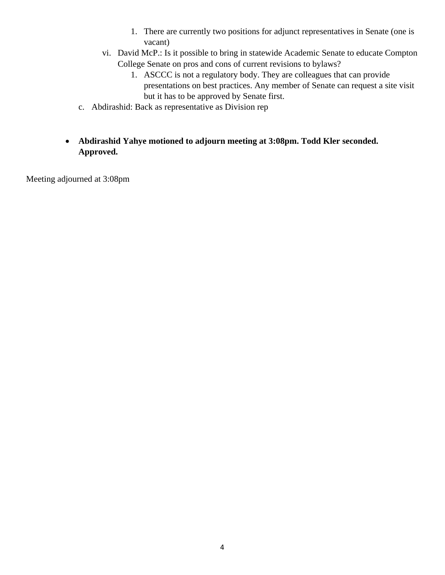- 1. There are currently two positions for adjunct representatives in Senate (one is vacant)
- vi. David McP.: Is it possible to bring in statewide Academic Senate to educate Compton College Senate on pros and cons of current revisions to bylaws?
	- 1. ASCCC is not a regulatory body. They are colleagues that can provide presentations on best practices. Any member of Senate can request a site visit but it has to be approved by Senate first.
- c. Abdirashid: Back as representative as Division rep
- **Abdirashid Yahye motioned to adjourn meeting at 3:08pm. Todd Kler seconded. Approved.**

Meeting adjourned at 3:08pm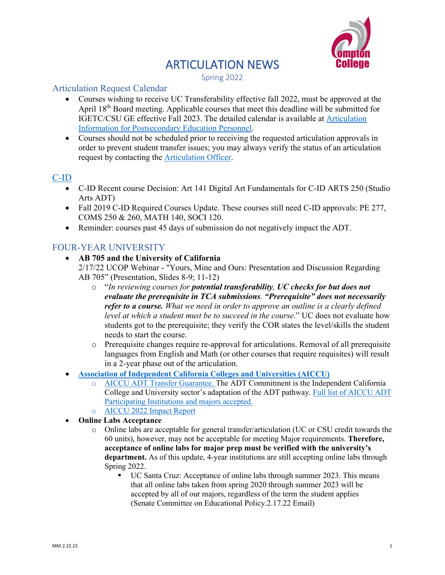# **ARTICULATION NEWS**<br>Spring 2022



#### Articulation Request Calendar

- Courses wishing to receive UC Transferability effective fall 2022, must be approved at the April 18th Board meeting. Applicable courses that meet this deadline will be submitted for IGETC/CSU GE effective Fall 2023. The detailed calendar is available at [Articulation](https://www.compton.edu/academics/articulation/index.aspx)  [Information for Postsecondary Education Personnel.](https://www.compton.edu/academics/articulation/index.aspx)
- Courses should not be scheduled prior to receiving the requested articulation approvals in order to prevent student transfer issues; you may always verify the status of an articulation request by contacting the [Articulation Officer.](mailto:mmcintosh@compton?subject=Articulation%20Inquiry)

#### [C-ID](https://c-id.net/)

- C-ID Recent course Decision: Art 141 Digital Art Fundamentals for C-ID ARTS 250 (Studio Arts ADT)
- Fall 2019 C-ID Required Courses Update. These courses still need C-ID approvals: PE 277, COMS 250 & 260, MATH 140, SOCI 120.
- Reminder: courses past 45 days of submission do not negatively impact the ADT.

# FOUR-YEAR UNIVERSITY

• **AB 705 and the University of California**

2/17/22 UCOP Webinar - "Yours, Mine and Ours: Presentation and Discussion Regarding AB 705" (Presentation, Slides 8-9; 11-12)

- o "*In reviewing courses for potential transferability, UC checks for but does not evaluate the prerequisite in TCA submissions. "Prerequisite" does not necessarily refer to a course. What we need in order to approve an outline is a clearly defined level at which a student must be to succeed in the course.*" UC does not evaluate how students got to the prerequisite; they verify the COR states the level/skills the student needs to start the course.
- o Prerequisite changes require re-approval for articulations. Removal of all prerequisite languages from English and Math (or other courses that require requisites) will result in a 2-year phase out of the articulation.
- **Association of [Independent California Colleges and Universities \(AICCU\)](https://aiccu.edu/)**
	- o [AICCU ADT Transfer Guarantee.](https://aiccu.edu/page/transfer) The ADT Commitment is the Independent California College and University sector's adaptation of the ADT pathway. [Full list of AICCU ADT](https://docs.google.com/spreadsheets/d/1KeCD7ObkPwqkHDXeazhcb4OmPlizW6GAGnDPIcZT5ZU/edit#gid=1283451677)  [Participating Institutions and majors accepted.](https://docs.google.com/spreadsheets/d/1KeCD7ObkPwqkHDXeazhcb4OmPlizW6GAGnDPIcZT5ZU/edit#gid=1283451677)
	- o [AICCU 2022 Impact Report](https://aiccu.edu/resource/resmgr/publications/2022/impactreport2021_final3.pdf)
- **Online Labs Acceptance**
	- o Online labs are acceptable for general transfer/articulation (UC or CSU credit towards the 60 units), however, may not be acceptable for meeting Major requirements. **Therefore, acceptance of online labs for major prep must be verified with the university's department.** As of this update, 4-year institutions are still accepting online labs through Spring 2022.
		- UC Santa Cruz: Acceptance of online labs through summer 2023. This means that all online labs taken from spring 2020 through summer 2023 will be accepted by all of our majors, regardless of the term the student applies (Senate Committee on Educational Policy.2.17.22 Email)